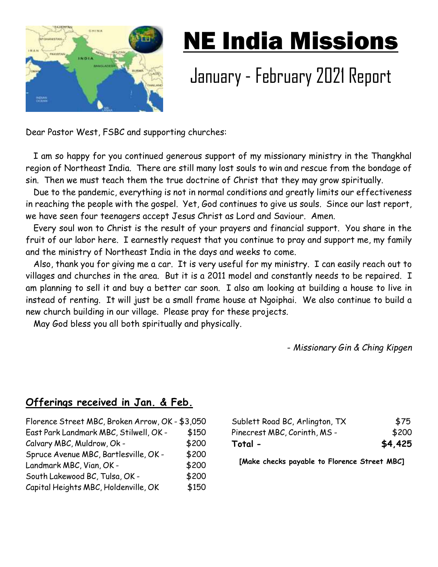

## NE India Missions

## January - February 2021 Report

Dear Pastor West, FSBC and supporting churches:

 I am so happy for you continued generous support of my missionary ministry in the Thangkhal region of Northeast India. There are still many lost souls to win and rescue from the bondage of sin. Then we must teach them the true doctrine of Christ that they may grow spiritually.

 Due to the pandemic, everything is not in normal conditions and greatly limits our effectiveness in reaching the people with the gospel. Yet, God continues to give us souls. Since our last report, we have seen four teenagers accept Jesus Christ as Lord and Saviour. Amen.

 Every soul won to Christ is the result of your prayers and financial support. You share in the fruit of our labor here. I earnestly request that you continue to pray and support me, my family and the ministry of Northeast India in the days and weeks to come.

 Also, thank you for giving me a car. It is very useful for my ministry. I can easily reach out to villages and churches in the area. But it is a 2011 model and constantly needs to be repaired. I am planning to sell it and buy a better car soon. I also am looking at building a house to live in instead of renting. It will just be a small frame house at Ngoiphai. We also continue to build a new church building in our village. Please pray for these projects.

May God bless you all both spiritually and physically.

- *Missionary Gin & Ching Kipgen*

## **Offerings received in Jan. & Feb.**

| Florence Street MBC, Broken Arrow, OK - \$3,050 |       |
|-------------------------------------------------|-------|
| East Park Landmark MBC, Stilwell, OK -          | \$150 |
| Calvary MBC, Muldrow, Ok -                      | \$200 |
| Spruce Avenue MBC, Bartlesville, OK -           | \$200 |
| Landmark MBC, Vian, OK -                        | \$200 |
| South Lakewood BC, Tulsa, OK -                  | \$200 |
| Capital Heights MBC, Holdenville, OK            | \$150 |

| Total -                        | \$4,425 |
|--------------------------------|---------|
| Pinecrest MBC, Corinth, MS -   | \$200   |
| Sublett Road BC, Arlington, TX | \$75    |

**[Make checks payable to Florence Street MBC]**